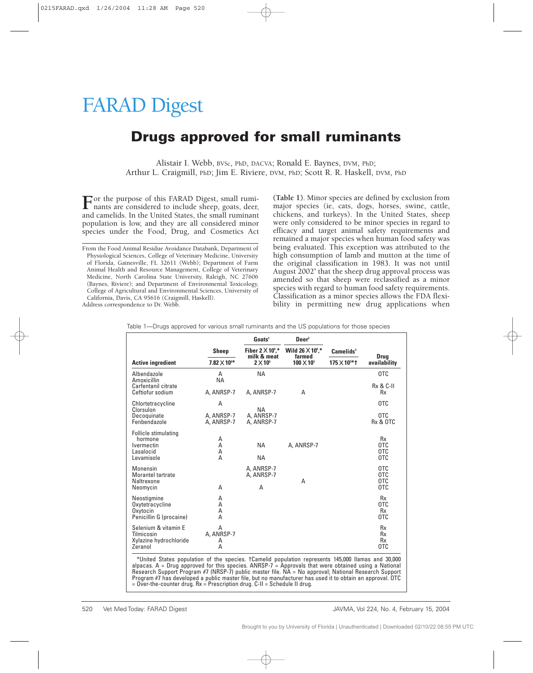## FARAD Digest

## **Drugs approved for small ruminants**

Alistair I. Webb, BVSc, PhD, DACVA; Ronald E. Baynes, DVM, PhD; Arthur L. Craigmill, PhD; Jim E. Riviere, DVM, PhD; Scott R. R. Haskell, DVM, PhD

For the purpose of this FARAD Digest, small ruminants are considered to include sheep, goats, deer, and camelids. In the United States, the small ruminant population is low, and they are all considered minor species under the Food, Drug, and Cosmetics Act

From the Food Animal Residue Avoidance Databank, Department of Physiological Sciences, College of Veterinary Medicine, University of Florida, Gainesville, FL 32611 (Webb); Department of Farm Animal Health and Resource Management, College of Veterinary Medicine, North Carolina State University, Raleigh, NC 27606 (Baynes, Riviere); and Department of Environmental Toxicology, College of Agricultural and Environmental Sciences, University of California, Davis, CA 95616 (Craigmill, Haskell). Address correspondence to Dr. Webb.

**(Table 1)**. Minor species are defined by exclusion from major species (ie, cats, dogs, horses, swine, cattle, chickens, and turkeys). In the United States, sheep were only considered to be minor species in regard to efficacy and target animal safety requirements and remained a major species when human food safety was being evaluated. This exception was attributed to the high consumption of lamb and mutton at the time of the original classification in 1983. It was not until August  $2002<sup>4</sup>$  that the sheep drug approval process was amended so that sheep were reclassified as a minor species with regard to human food safety requirements. Classification as a minor species allows the FDA flexibility in permitting new drug applications when

|                                                                                                                                                                                                                                                                                                                        |                           | Goats <sup>1</sup>                      | $\mathbf{Deer}^2$                  |                        |                                   |
|------------------------------------------------------------------------------------------------------------------------------------------------------------------------------------------------------------------------------------------------------------------------------------------------------------------------|---------------------------|-----------------------------------------|------------------------------------|------------------------|-----------------------------------|
|                                                                                                                                                                                                                                                                                                                        | <b>Sheep</b>              | Fiber $2 \times 10^6$ ,*<br>milk & meat | Wild $26 \times 10^6$ ,*<br>farmed | Camelids <sup>3</sup>  |                                   |
| <b>Active ingredient</b>                                                                                                                                                                                                                                                                                               | $7.82 \times 10^{6*}$     | $2 \times 10^6$                         | $100 \times 10^3$                  | $175 \times 10^{3*}$ t | <b>Drug</b><br>availability       |
| Albendazole<br>Amoxicillin                                                                                                                                                                                                                                                                                             | Α<br><b>NA</b>            | <b>NA</b>                               |                                    |                        | 0TC                               |
| Carfentanil citrate<br>Ceftiofur sodium                                                                                                                                                                                                                                                                                | A. ANRSP-7                | A. ANRSP-7                              | Α                                  |                        | <b>Rx &amp; C-II</b><br><b>Rx</b> |
| Chlortetracycline                                                                                                                                                                                                                                                                                                      | A                         | <b>NA</b>                               |                                    |                        | 0TC                               |
| Clorsulon<br>Decoquinate<br>Fenbendazole                                                                                                                                                                                                                                                                               | A, ANRSP-7<br>A. ANRSP-7  | A. ANRSP-7<br>A. ANRSP-7                |                                    |                        | 0TC<br>Rx & OTC                   |
| Follicle stimulating<br>hormone<br><b>Ivermectin</b><br>Lasalocid<br>Levamisole                                                                                                                                                                                                                                        | A<br>A<br>Α<br>A          | <b>NA</b><br><b>NA</b>                  | A, ANRSP-7                         |                        | <b>Rx</b><br>0TC<br>0TC<br>0TC    |
| Monensin<br>Morantel tartrate<br>Naltrexone<br>Neomycin                                                                                                                                                                                                                                                                | A                         | A, ANRSP-7<br>A, ANRSP-7<br>A           | Α                                  |                        | 0TC<br>0TC<br>0TC<br>OTC          |
| Neostigmine<br>Oxytetracycline<br>Oxytocin<br>Penicillin G (procaine)                                                                                                                                                                                                                                                  | A<br>А<br>А<br>A          |                                         |                                    |                        | <b>Rx</b><br>0TC<br>Rx<br>0TC     |
| Selenium & vitamin E<br>Tilmicosin<br>Xylazine hydrochloride<br>Zeranol                                                                                                                                                                                                                                                | A<br>A. ANRSP-7<br>A<br>A |                                         |                                    |                        | Rx<br>Rx<br>Rx<br>0TC             |
| *United States population of the species. †Camelid population represents 145,000 llamas and 30,000<br>alpacas. $A = Diuq$ approved for this species. $AMRSP-7 = Approvals$ that were obtained using a National<br>Research Support Program #7 (NRSP-7) public master file, NA = No approval: National Research Support |                           |                                         |                                    |                        |                                   |

Table 1—Drugs approved for various small ruminants and the US populations for those species

Research Support Program #7 (NRSP-7) public master file. NA = No approval; National Research Support Program #7 has developed a public master file, but no manufacturer has used it to obtain an approval. OTC = Over-the-counter drug. Rx = Prescription drug. C-II = Schedule II drug.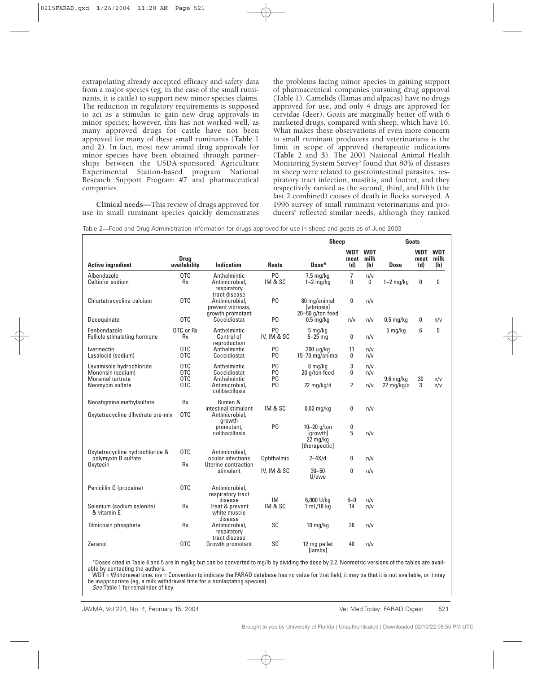extrapolating already accepted efficacy and safety data from a major species (eg, in the case of the small ruminants, it is cattle) to support new minor species claims. The reduction in regulatory requirements is supposed to act as a stimulus to gain new drug approvals in minor species; however, this has not worked well, as many approved drugs for cattle have not been approved for many of these small ruminants (**Table** 1 and **2**). In fact, most new animal drug approvals for minor species have been obtained through partnerships between the USDA-sponsored Agriculture Experimental Station-based program National Research Support Program #7 and pharmaceutical companies.

**Clinical needs—**This review of drugs approved for use in small ruminant species quickly demonstrates the problems facing minor species in gaining support of pharmaceutical companies pursuing drug approval (Table 1). Camelids (llamas and alpacas) have no drugs approved for use, and only 4 drugs are approved for cervidae (deer). Goats are marginally better off with 6 marketed drugs, compared with sheep, which have 16. What makes these observations of even more concern to small ruminant producers and veterinarians is the limit in scope of approved therapeutic indications (**Table** 2 and **3**). The 2001 National Animal Health Monitoring System Survey<sup>5</sup> found that 80% of diseases in sheep were related to gastrointestinal parasites, respiratory tract infection, mastitis, and footrot, and they respectively ranked as the second, third, and fifth (the last 2 combined) causes of death in flocks surveyed. A 1996 survey of small ruminant veterinarians and producers<sup>6</sup> reflected similar needs, although they ranked

| Table 2—Food and Drug Administration information for drugs approved for use in sheep and goats as of June 2003 |  |
|----------------------------------------------------------------------------------------------------------------|--|
|                                                                                                                |  |

|                                                                    |                             |                                                                |                                  | <b>Sheep</b>                                               |                     |                           | Goats                |                    |                           |
|--------------------------------------------------------------------|-----------------------------|----------------------------------------------------------------|----------------------------------|------------------------------------------------------------|---------------------|---------------------------|----------------------|--------------------|---------------------------|
| <b>Active ingredient</b>                                           | <b>Drug</b><br>availability | <b>Indication</b>                                              | Route                            | Dose*                                                      | WDT<br>meat<br>(d)  | <b>WDT</b><br>milk<br>(h) | <b>Dose</b>          | WDT<br>meat<br>(d) | <b>WDT</b><br>milk<br>(h) |
| Albendazole<br>Ceftiofur sodium                                    | <b>OTC</b><br><b>Rx</b>     | Anthelmintic<br>Antimicrobial.<br>respiratory<br>tract disease | P <sub>0</sub><br>IM & SC        | $7.5 \text{ mg/kg}$<br>$1-2$ mg/kg                         | $\overline{7}$<br>0 | n/v<br>0                  | $1-2$ mg/kg          | 0                  | 0                         |
| Chlortetracycline calcium                                          | OTC                         | Antimicrobial,<br>prevent vibriosis,<br>growth promotant       | P <sub>0</sub>                   | 80 mg/animal<br><u>[vibriosis]</u><br>$20 - 50$ g/ton feed | 0                   | n/v                       |                      |                    |                           |
| Decoquinate                                                        | OTC                         | Coccidiostat                                                   | P <sub>0</sub>                   | $0.5$ mg/kg                                                | n/v                 | n/v                       | $0.5$ mg/kg          | 0                  | n/v                       |
| Fenbendazole<br>Follicle stimulating hormone                       | OTC or Rx<br>Rx             | Anthelmintic<br>Control of<br>reproduction                     | P <sub>0</sub><br>IV, IM & SC    | 5 ma/ka<br>5–25 mg                                         | 0                   | n/v                       | $5 \,\mathrm{mg/kg}$ | 6                  | 0                         |
| <i><u><b>Ivermectin</b></u></i><br>Lasalocid (sodium)              | <b>OTC</b><br>0TC           | Anthelmintic<br>Coccidiostat                                   | P <sub>0</sub><br>P <sub>0</sub> | 200 µg/kg<br>15-70 mg/animal                               | 11<br>0             | n/v<br>n/v                |                      |                    |                           |
| Levamisole hydrochloride<br>Monensin (sodium)<br>Morantel tartrate | 0TC<br>0TC<br>0TC           | Anthelmintic<br>Coccidiostat<br>Anthelmintic                   | P <sub>0</sub><br>P0<br>P0       | 8 mg/kg<br>20 g/ton feed                                   | 3<br>0              | n/v<br>n/v                | 9.6 ma/ka            | 30                 | n/v                       |
| Neomycin sulfate                                                   | 0TC                         | Antimicrobial.<br>colibacillosis                               | P0                               | $22 \text{ mg/kg/d}$                                       | $\overline{2}$      | n/v                       | $22 \text{ mg/kg/d}$ | 3                  | n/v                       |
| Neostigmine methylsulfate                                          | <b>Rx</b>                   | Rumen &                                                        |                                  |                                                            |                     |                           |                      |                    |                           |
| Oxytetracycline dihydrate pre-mix                                  | 0TC                         | intestinal stimulant<br>Antimicrobial,<br>growth               | IM & SC                          | $0.02$ mg/kg                                               | 0                   | n/v                       |                      |                    |                           |
|                                                                    |                             | promotant,<br>colibacillosis                                   | P <sub>0</sub>                   | $10-20$ g/ton<br>[growth]<br>22 mg/kg<br>[therapeutic]     | 0<br>5              | n/v                       |                      |                    |                           |
| Oxytetracycline hydrochloride &<br>polymyxin B sulfate<br>Oxytocin | <b>OTC</b><br><b>Rx</b>     | Antimicrobial.<br>ocular infections<br>Uterine contraction     | Ophthalmic                       | $2-4X/d$                                                   | 0                   | n/v                       |                      |                    |                           |
|                                                                    |                             | stimulant                                                      | IV, IM & SC                      | $30 - 50$<br>U/ewe                                         | 0                   | n/v                       |                      |                    |                           |
| Penicillin G (procaine)                                            | OTC                         | Antimicrobial,<br>respiratory tract                            |                                  |                                                            |                     |                           |                      |                    |                           |
| Selenium (sodium selenite)<br>& vitamin E                          | <b>Rx</b>                   | disease<br>Treat & prevent<br>white muscle<br>disease          | <b>IM</b><br>IM & SC             | 6,000 U/kg<br>1 mL/18 kg                                   | $8 - 9$<br>14       | n/v<br>n/v                |                      |                    |                           |
| Tilmicosin phosphate                                               | <b>Rx</b>                   | Antimicrobial,<br>respiratory<br>tract disease                 | SC                               | $10 \text{ mg/kg}$                                         | 28                  | n/v                       |                      |                    |                           |
| Zeranol                                                            | 0TC                         | Growth promotant                                               | SC                               | 12 mg pellet<br><b>Ilambs</b>                              | 40                  | n/v                       |                      |                    |                           |

\*Doses cited in Table 4 and 5 are in mg/kg but can be converted to mg/lb by dividing the dose by 2.2. Nonmetric versions of the tables are available by contacting the authors.

WDT = Withdrawal time.  $n/v =$  Convention to indicate the FARAD database has no value for that field; it may be that it is not available, or it may be inappropriate (eg, a milk withdrawal time for a nonlactating species).

See Table 1 for remainder of key.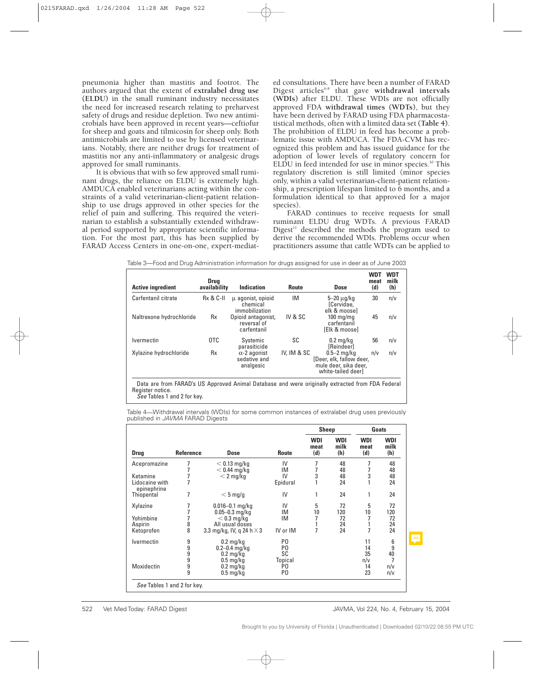pneumonia higher than mastitis and footrot. The authors argued that the extent of **extralabel drug use (ELDU)** in the small ruminant industry necessitates the need for increased research relating to preharvest safety of drugs and residue depletion. Two new antimicrobials have been approved in recent years—ceftiofur for sheep and goats and tilmicosin for sheep only. Both antimicrobials are limited to use by licensed veterinarians. Notably, there are neither drugs for treatment of mastitis nor any anti-inflammatory or analgesic drugs approved for small ruminants.

It is obvious that with so few approved small ruminant drugs, the reliance on ELDU is extremely high. AMDUCA enabled veterinarians acting within the constraints of a valid veterinarian-client-patient relationship to use drugs approved in other species for the relief of pain and suffering. This required the veterinarian to establish a substantially extended withdrawal period supported by appropriate scientific information. For the most part, this has been supplied by FARAD Access Centers in one-on-one, expert-mediat-

See Tables 1 and 2 for key.

ed consultations. There have been a number of FARAD Digest articles6-8 that gave **withdrawal intervals (WDIs)** after ELDU. These WDIs are not officially approved FDA **withdrawal times (WDTs)**, but they have been derived by FARAD using FDA pharmacostatistical methods, often with a limited data set **(Table 4)**. The prohibition of ELDU in feed has become a problematic issue with AMDUCA. The FDA-CVM has recognized this problem and has issued guidance for the adoption of lower levels of regulatory concern for ELDU in feed intended for use in minor species.<sup>10</sup> This regulatory discretion is still limited (minor species only, within a valid veterinarian-client-patient relationship, a prescription lifespan limited to 6 months, and a formulation identical to that approved for a major species).

FARAD continues to receive requests for small ruminant ELDU drug WDTs. A previous FARAD Digest $11$  described the methods the program used to derive the recommended WDIs. Problems occur when practitioners assume that cattle WDTs can be applied to

| <b>Active ingredient</b> | <b>Drug</b><br>availability | Indication                                       | <b>Route</b> | Dose                                                                                     | WD.<br>meat<br>(d) | WDT<br>milk<br>(h) |
|--------------------------|-----------------------------|--------------------------------------------------|--------------|------------------------------------------------------------------------------------------|--------------------|--------------------|
| Carfentanil citrate      | <b>Rx &amp; C-II</b>        | u agonist, opioid<br>chemical<br>immobilization  | IM           | 5–20 µg/kg<br>[Cervidae,<br>elk & moosel                                                 | 30                 | n/v                |
| Naltrexone hydrochloride | Rx                          | Opioid antagonist,<br>reversal of<br>carfentanil | IV & SC      | $100 \text{ mg}/\text{mg}$<br>carfentanil<br><b>TEIk &amp; moose1</b>                    | 45                 | n/v                |
| <b>Ivermectin</b>        | 0TC                         | Systemic<br>parasiticide                         | SC           | $0.2 \text{ mg/kg}$<br><b>[Reindeer]</b>                                                 | 56                 | n/v                |
| Xylazine hydrochloride   | Rx                          | $\alpha$ -2 agonist<br>sedative and<br>analgesic | IV, IM & SC  | $0.5-2$ mg/kg<br>[Deer, elk, fallow deer,<br>mule deer, sika deer,<br>white-tailed deerl | n/v                | n/v                |

Table 3—Food and Drug Administration information for drugs assigned for use in deer as of June 2003

Table 4—Withdrawal intervals (WDIs) for some common instances of extralabel drug uses previously published in JAVMA FARAD Digests

| <b>Drug</b><br>Acepromazine<br>Ketamine<br>Lidocaine with<br>epinephrine<br>Thiopental | Reference<br>7<br>7<br>7 | <b>Dose</b><br>$<$ 0.13 mg/kg<br>$<$ 0.44 mg/kg<br>$<$ 2 mg/kg | <b>Route</b><br>IV<br>IM<br>IV<br>Epidural | <b>WDI</b><br>meat<br>(d)<br>7<br>7<br>3<br>$\mathbf{1}$ | <b>WDI</b><br>milk<br>(h)<br>48<br>48<br>48 | <b>WDI</b><br>meat<br>(d)<br>7<br>3 | <b>WDI</b><br>milk<br>(h)<br>48<br>48 |
|----------------------------------------------------------------------------------------|--------------------------|----------------------------------------------------------------|--------------------------------------------|----------------------------------------------------------|---------------------------------------------|-------------------------------------|---------------------------------------|
|                                                                                        |                          |                                                                |                                            |                                                          |                                             |                                     |                                       |
|                                                                                        |                          |                                                                |                                            |                                                          |                                             |                                     |                                       |
|                                                                                        |                          |                                                                |                                            |                                                          |                                             |                                     |                                       |
|                                                                                        |                          |                                                                |                                            |                                                          |                                             |                                     | 48                                    |
|                                                                                        |                          |                                                                |                                            |                                                          | 24                                          | $\mathbf{1}$                        | 24                                    |
|                                                                                        | 7                        | $< 5$ mg/g                                                     | IV                                         | 1                                                        | 24                                          | 1                                   | 24                                    |
| Xylazine                                                                               | 7                        | $0.016 - 0.1$ mg/kg                                            | IV                                         | 5                                                        | 72                                          | 5                                   | 72                                    |
|                                                                                        | 7                        | $0.05 - 0.3$ mg/kg                                             | IM                                         | 10                                                       | 120                                         | 10                                  | 120                                   |
| Yohimbine                                                                              | 7                        | $<$ 0.3 mg/kg                                                  | IM                                         | 7                                                        | 72                                          |                                     | 72                                    |
| Aspirin                                                                                | 8                        | All usual doses                                                |                                            |                                                          | 24                                          |                                     | 24                                    |
| Ketoprofen                                                                             | 8                        | 3.3 mg/kg, IV, q 24 h $\times$ 3                               | IV or IM                                   | 7                                                        | 24                                          | 7                                   | 24                                    |
| <i><u><b>Ivermectin</b></u></i>                                                        | 9                        | $0.2$ mg/kg                                                    | P <sub>0</sub>                             |                                                          |                                             | 11                                  | 6                                     |
|                                                                                        | 9                        | $0.2 - 0.4$ mg/kg                                              | P <sub>0</sub>                             |                                                          |                                             | 14                                  | 9                                     |
|                                                                                        | 9                        | $0.2$ mg/kg                                                    | SC                                         |                                                          |                                             | 35                                  | 40                                    |
|                                                                                        | 9                        | $0.5 \,\mathrm{mg/kg}$                                         | Topical                                    |                                                          |                                             | n/v                                 |                                       |
| Moxidectin                                                                             | 9                        | $0.2$ mg/kg                                                    | P0                                         |                                                          |                                             | 14                                  | n/v                                   |
|                                                                                        | 9                        | $0.5$ mg/kg                                                    | P <sub>0</sub>                             |                                                          |                                             | 23                                  | n/v                                   |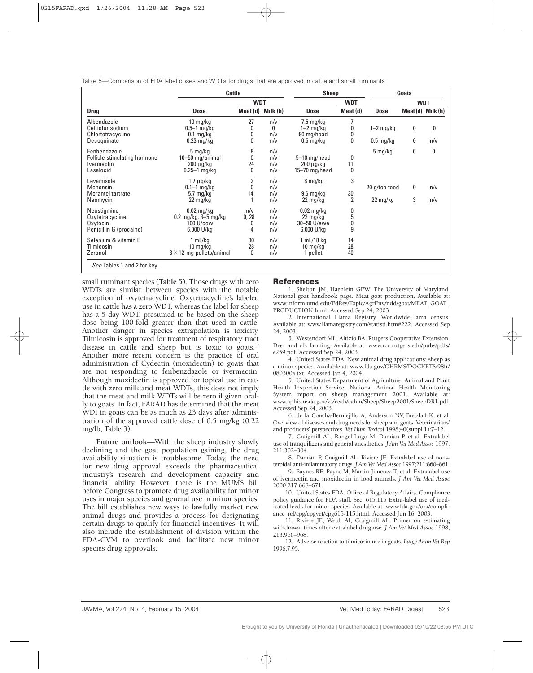Table 5—Comparison of FDA label doses and WDTs for drugs that are approved in cattle and small ruminants

|                                 | <b>Cattle</b>                                     | <b>Sheep</b>      |     | Goats                  |                |                      |                   |            |
|---------------------------------|---------------------------------------------------|-------------------|-----|------------------------|----------------|----------------------|-------------------|------------|
|                                 |                                                   | <b>WDT</b>        |     |                        | <b>WDT</b>     |                      |                   | <b>WDT</b> |
| <b>Drug</b>                     | <b>Dose</b>                                       | Meat (d) Milk (h) |     | <b>Dose</b>            | Meat (d)       | <b>Dose</b>          | Meat (d) Milk (h) |            |
| Albendazole                     | $10 \text{ mg/kg}$                                | 27                | n/v | $7.5 \,\mathrm{mg/kg}$ |                |                      |                   |            |
| Ceftiofur sodium                | $0.5-1$ mg/kg                                     | 0                 | 0   | $1-2$ mg/kg            | 0              | $1-2$ mg/kg          | 0                 | 0          |
| Chlortetracycline               | $0.1$ mg/kg                                       | 0                 | n/v | 80 mg/head             | 0              |                      |                   |            |
| Decoquinate                     | $0.23$ mg/kg                                      | 0                 | n/v | $0.5 \,\mathrm{mg/kg}$ | 0              | $0.5 \text{ mg/kg}$  | 0                 | n/v        |
| Fenbendazole                    | 5 mg/kg                                           | 8                 | n/v |                        |                | $5 \,\mathrm{mg/kg}$ | 6                 | 0          |
| Follicle stimulating hormone    | 10-50 mg/animal                                   | 0                 | n/v | 5-10 mg/head           | 0              |                      |                   |            |
| <i><u><b>Ivermectin</b></u></i> | $200 \mu g/kg$                                    | 24                | n/v | $200 \mu g/kg$         | 11             |                      |                   |            |
| Lasalocid                       | $0.25 - 1$ mg/kg                                  | 0                 | n/v | $15 - 70$ mg/head      | 0              |                      |                   |            |
| Levamisole                      | $1.7 \mu$ g/kg                                    | 2                 | n/v | 8 mg/kg                | 3              |                      |                   |            |
| Monensin                        | $0.1 - 1$ mg/kg                                   | 0                 | n/v |                        |                | 20 g/ton feed        | 0                 | n/v        |
| Morantel tartrate               | $5.7 \text{ mg/kg}$                               | 14                | n/v | $9.6$ mg/kg            | 30             |                      |                   |            |
| Neomycin                        | 22 mg/kg                                          |                   | n/v | $22 \text{ mg/kg}$     | $\overline{2}$ | 22 mg/kg             | 3                 | n/v        |
| Neostigmine                     | $0.02$ mg/kg                                      | n/v               | n/v | $0.02$ mg/kg           | 0              |                      |                   |            |
| Oxytetracycline                 | $0.2 \,\mathrm{mq/kg}$ , $3 - 5 \,\mathrm{mq/kg}$ | 0, 28             | n/v | 22 mg/kg               | 5              |                      |                   |            |
| Oxytocin                        | 100 U/cow                                         | 0                 | n/v | 30-50 U/ewe            | 0              |                      |                   |            |
| Penicillin G (procaine)         | 6,000 U/kg                                        | 4                 | n/v | 6,000 U/kg             | 9              |                      |                   |            |
| Selenium & vitamin E            | 1 mL/kg                                           | 30                | n/v | 1 mL/18 kg             | 14             |                      |                   |            |
| Tilmicosin                      | $10 \; mg/kg$                                     | 28                | n/v | $10 \,\mathrm{mg/kg}$  | 28             |                      |                   |            |
| Zeranol                         | $3 \times 12$ -mg pellets/animal                  | 0                 | n/v | 1 pellet               | 40             |                      |                   |            |

small ruminant species **(Table 5)**. Those drugs with zero WDTs are similar between species with the notable exception of oxytetracycline. Oxytetracycline's labeled use in cattle has a zero WDT, whereas the label for sheep has a 5-day WDT, presumed to be based on the sheep dose being 100-fold greater than that used in cattle. Another danger in species extrapolation is toxicity. Tilmicosin is approved for treatment of respiratory tract disease in cattle and sheep but is toxic to goats.<sup>12</sup> Another more recent concern is the practice of oral administration of Cydectin (moxidectin) to goats that are not responding to fenbenzdazole or ivermectin. Although moxidectin is approved for topical use in cattle with zero milk and meat WDTs, this does not imply that the meat and milk WDTs will be zero if given orally to goats. In fact, FARAD has determined that the meat WDI in goats can be as much as 23 days after administration of the approved cattle dose of 0.5 mg/kg (0.22 mg/lb; Table 3).

**Future outlook—**With the sheep industry slowly declining and the goat population gaining, the drug availability situation is troublesome. Today, the need for new drug approval exceeds the pharmaceutical industry's research and development capacity and financial ability. However, there is the MUMS bill before Congress to promote drug availability for minor uses in major species and general use in minor species. The bill establishes new ways to lawfully market new animal drugs and provides a process for designating certain drugs to qualify for financial incentives. It will also include the establishment of division within the FDA-CVM to overlook and facilitate new minor species drug approvals.

## **References**

1. Shelton JM, Haenlein GFW. The University of Maryland. National goat handbook page. Meat goat production. Available at: www.inform.umd.edu/EdRes/Topic/AgrEnv/ndd/goat/MEAT\_GOAT\_ PRODUCTION.html. Accessed Sep 24, 2003.

2. International Llama Registry. Worldwide lama census. Available at: www.llamaregistry.com/statisti.htm#222. Accessed Sep 24, 2003.

3. Westendorf ML, Altizio BA. Rutgers Cooperative Extension. Deer and elk farming. Available at: www.rce.rutgers.edu/pubs/pdfs/ e259.pdf. Accessed Sep 24, 2003.

4. United States FDA. New animal drug applications; sheep as a minor species. Available at: www.fda.gov/OHRMS/DOCKETS/98fr/ 080300a.txt. Accessed Jan 4, 2004.

5. United States Department of Agriculture. Animal and Plant Health Inspection Service. National Animal Health Monitoring System report on sheep management 2001. Available at: www.aphis.usda.gov/vs/ceah/cahm/Sheep/Sheep2001/SheepDR1.pdf. Accessed Sep 24, 2003.

6. de la Concha-Bermejillo A, Anderson NV, Bretzlaff K, et al. Overview of diseases and drug needs for sheep and goats. Veterinarians' and producers' perspectives. *Vet Hum Toxicol* 1998;40(suppl 1):7–12.

7. Craigmill AL, Rangel-Lugo M, Damian P, et al. Extralabel use of tranquilizers and general anesthetics. *J Am Vet Med Assoc* 1997; 211:302–304.

8. Damian P, Craigmill AL, Riviere JE. Extralabel use of nonsteroidal anti-inflammatory drugs. *J Am Vet Med Assoc* 1997;211:860–861.

9. Baynes RE, Payne M, Martin-Jimenez T, et al. Extralabel use of ivermectin and moxidectin in food animals. *J Am Vet Med Assoc* 2000;217:668–671.

10. United States FDA. Office of Regulatory Affairs. Compliance policy guidance for FDA staff. Sec. 615.115 Extra-label use of medicated feeds for minor species. Available at: www.fda.gov/ora/compliance\_ref/cpg/cpgvet/cpg615-115.html. Accessed Jun 16, 2003.

11. Riviere JE, Webb AI, Craigmill AL. Primer on estimating withdrawal times after extralabel drug use. *J Am Vet Med Assoc* 1998; 213:966–968.

12. Adverse reaction to tilmicosin use in goats. *Large Anim Vet Rep* 1996;7:95.